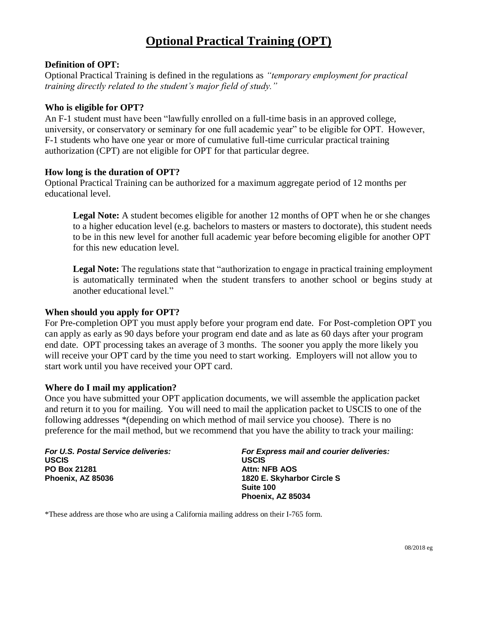# **Optional Practical Training (OPT)**

### **Definition of OPT:**

Optional Practical Training is defined in the regulations as *"temporary employment for practical training directly related to the student's major field of study."*

### **Who is eligible for OPT?**

An F-1 student must have been "lawfully enrolled on a full-time basis in an approved college, university, or conservatory or seminary for one full academic year" to be eligible for OPT. However, F-1 students who have one year or more of cumulative full-time curricular practical training authorization (CPT) are not eligible for OPT for that particular degree.

#### **How long is the duration of OPT?**

Optional Practical Training can be authorized for a maximum aggregate period of 12 months per educational level.

**Legal Note:** A student becomes eligible for another 12 months of OPT when he or she changes to a higher education level (e.g. bachelors to masters or masters to doctorate), this student needs to be in this new level for another full academic year before becoming eligible for another OPT for this new education level.

**Legal Note:** The regulations state that "authorization to engage in practical training employment is automatically terminated when the student transfers to another school or begins study at another educational level."

#### **When should you apply for OPT?**

For Pre-completion OPT you must apply before your program end date. For Post-completion OPT you can apply as early as 90 days before your program end date and as late as 60 days after your program end date. OPT processing takes an average of 3 months. The sooner you apply the more likely you will receive your OPT card by the time you need to start working. Employers will not allow you to start work until you have received your OPT card.

#### **Where do I mail my application?**

Once you have submitted your OPT application documents, we will assemble the application packet and return it to you for mailing. You will need to mail the application packet to USCIS to one of the following addresses \*(depending on which method of mail service you choose). There is no preference for the mail method, but we recommend that you have the ability to track your mailing:

**USCIS USCIS PO Box 21281 Attn: NFB AOS Phoenix, AZ 85036 1820 E. Skyharbor Circle S**

*For U.S. Postal Service deliveries: For Express mail and courier deliveries:*  **Suite 100 Phoenix, AZ 85034**

\*These address are those who are using a California mailing address on their I-765 form.